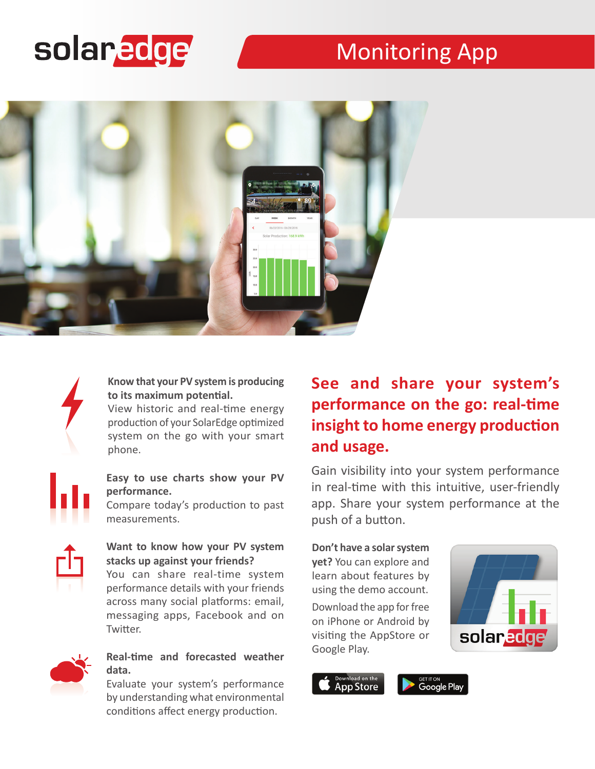# solaredge

# Monitoring App





#### **Know that your PV system is producing to its maximum potential.**

View historic and real-time energy production of your SolarEdge optimized system on the go with your smart phone.

#### **Easy to use charts show your PV performance.**

Compare today's production to past measurements.



You can share real-time system performance details with your friends across many social platforms: email, messaging apps, Facebook and on Twitter.



#### **Real-time and forecasted weather data.**

Evaluate your system's performance by understanding what environmental conditions affect energy production.

## **See and share your system's performance on the go: real-time insight to home energy production and usage.**

Gain visibility into your system performance in real-time with this intuitive, user-friendly app. Share your system performance at the push of a button.

#### **Don't have a solar system yet?** You can explore and learn about features by

using the demo account.

Download the app for free on iPhone or Android by visiting the AppStore or Google Play.